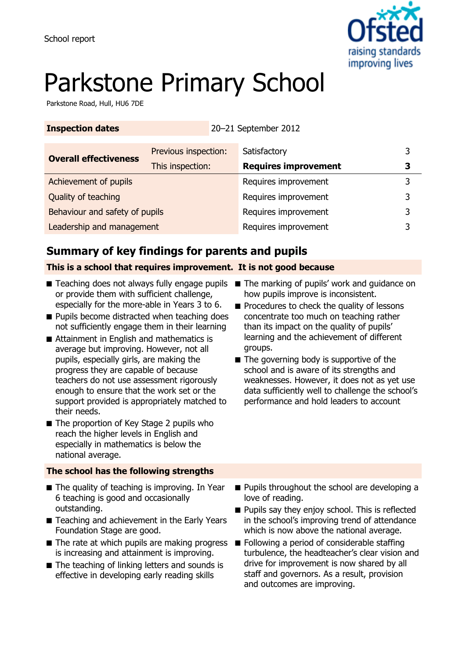

# Parkstone Primary School

Parkstone Road, Hull, HU6 7DE

| <b>Inspection dates</b>        |                      | 20-21 September 2012        |   |
|--------------------------------|----------------------|-----------------------------|---|
| <b>Overall effectiveness</b>   | Previous inspection: | Satisfactory                | 3 |
|                                | This inspection:     | <b>Requires improvement</b> | З |
| Achievement of pupils          |                      | Requires improvement        | 3 |
| Quality of teaching            |                      | Requires improvement        | 3 |
| Behaviour and safety of pupils |                      | Requires improvement        |   |
| Leadership and management      |                      | Requires improvement        |   |

# **Summary of key findings for parents and pupils**

### **This is a school that requires improvement. It is not good because**

- Teaching does not always fully engage pupils The marking of pupils' work and guidance on or provide them with sufficient challenge, especially for the more-able in Years 3 to 6.
- Pupils become distracted when teaching does not sufficiently engage them in their learning
- Attainment in English and mathematics is average but improving. However, not all pupils, especially girls, are making the progress they are capable of because teachers do not use assessment rigorously enough to ensure that the work set or the support provided is appropriately matched to their needs.
- The proportion of Key Stage 2 pupils who reach the higher levels in English and especially in mathematics is below the national average.

### **The school has the following strengths**

- The quality of teaching is improving. In Year 6 teaching is good and occasionally outstanding.
- Teaching and achievement in the Early Years Foundation Stage are good.
- The rate at which pupils are making progress Following a period of considerable staffing is increasing and attainment is improving.
- The teaching of linking letters and sounds is effective in developing early reading skills
- how pupils improve is inconsistent.
- Procedures to check the quality of lessons concentrate too much on teaching rather than its impact on the quality of pupils' learning and the achievement of different groups.
- The governing body is supportive of the school and is aware of its strengths and weaknesses. However, it does not as yet use data sufficiently well to challenge the school's performance and hold leaders to account

- Pupils throughout the school are developing a love of reading.
- Pupils say they enjoy school. This is reflected in the school's improving trend of attendance which is now above the national average.
- turbulence, the headteacher's clear vision and drive for improvement is now shared by all staff and governors. As a result, provision and outcomes are improving.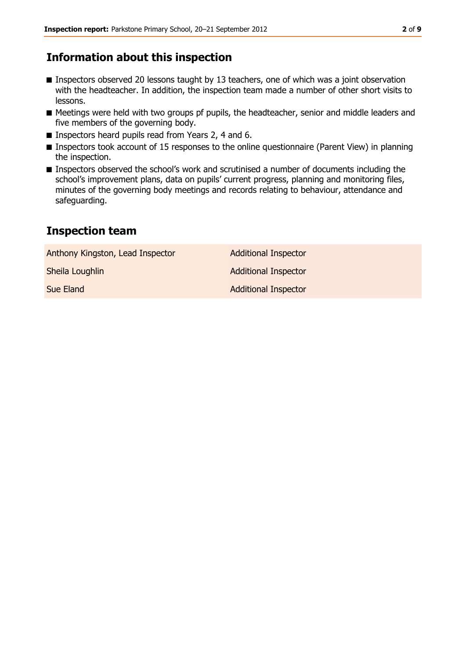# **Information about this inspection**

- Inspectors observed 20 lessons taught by 13 teachers, one of which was a joint observation with the headteacher. In addition, the inspection team made a number of other short visits to lessons.
- Meetings were held with two groups pf pupils, the headteacher, senior and middle leaders and five members of the governing body.
- Inspectors heard pupils read from Years 2, 4 and 6.
- Inspectors took account of 15 responses to the online questionnaire (Parent View) in planning the inspection.
- Inspectors observed the school's work and scrutinised a number of documents including the school's improvement plans, data on pupils' current progress, planning and monitoring files, minutes of the governing body meetings and records relating to behaviour, attendance and safeguarding.

# **Inspection team**

| Anthony Kingston, Lead Inspector | <b>Additional Inspector</b> |
|----------------------------------|-----------------------------|
| Sheila Loughlin                  | <b>Additional Inspector</b> |
| Sue Eland                        | <b>Additional Inspector</b> |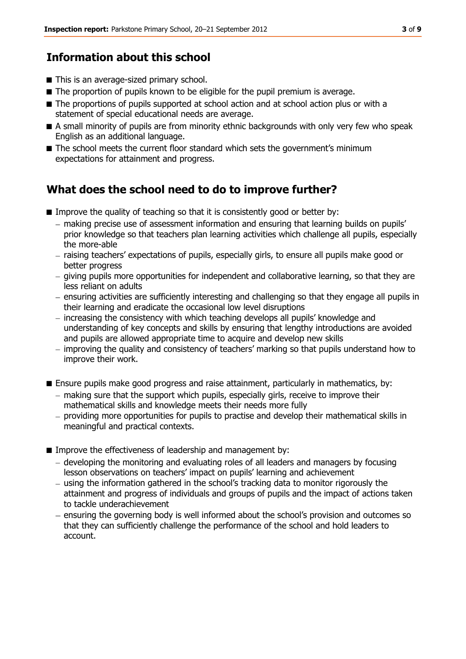# **Information about this school**

- This is an average-sized primary school.
- The proportion of pupils known to be eligible for the pupil premium is average.
- The proportions of pupils supported at school action and at school action plus or with a statement of special educational needs are average.
- A small minority of pupils are from minority ethnic backgrounds with only very few who speak English as an additional language.
- The school meets the current floor standard which sets the government's minimum expectations for attainment and progress.

# **What does the school need to do to improve further?**

- Improve the quality of teaching so that it is consistently good or better by:
	- making precise use of assessment information and ensuring that learning builds on pupils' prior knowledge so that teachers plan learning activities which challenge all pupils, especially the more-able
	- raising teachers' expectations of pupils, especially girls, to ensure all pupils make good or better progress
	- giving pupils more opportunities for independent and collaborative learning, so that they are less reliant on adults
	- ensuring activities are sufficiently interesting and challenging so that they engage all pupils in their learning and eradicate the occasional low level disruptions
	- increasing the consistency with which teaching develops all pupils' knowledge and understanding of key concepts and skills by ensuring that lengthy introductions are avoided and pupils are allowed appropriate time to acquire and develop new skills
	- improving the quality and consistency of teachers' marking so that pupils understand how to improve their work.
- Ensure pupils make good progress and raise attainment, particularly in mathematics, by:
	- making sure that the support which pupils, especially girls, receive to improve their mathematical skills and knowledge meets their needs more fully
	- providing more opportunities for pupils to practise and develop their mathematical skills in meaningful and practical contexts.
- Improve the effectiveness of leadership and management by:
	- $-$  developing the monitoring and evaluating roles of all leaders and managers by focusing lesson observations on teachers' impact on pupils' learning and achievement
	- using the information gathered in the school's tracking data to monitor rigorously the attainment and progress of individuals and groups of pupils and the impact of actions taken to tackle underachievement
	- ensuring the governing body is well informed about the school's provision and outcomes so that they can sufficiently challenge the performance of the school and hold leaders to account.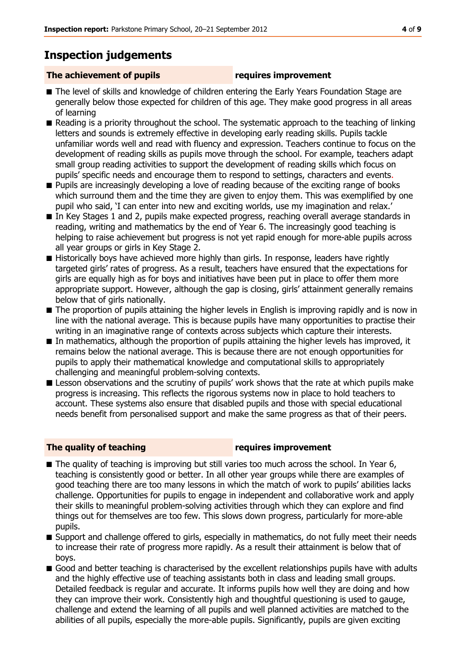# **Inspection judgements**

### **The achievement of pupils requires improvement**

- The level of skills and knowledge of children entering the Early Years Foundation Stage are generally below those expected for children of this age. They make good progress in all areas of learning
- Reading is a priority throughout the school. The systematic approach to the teaching of linking letters and sounds is extremely effective in developing early reading skills. Pupils tackle unfamiliar words well and read with fluency and expression. Teachers continue to focus on the development of reading skills as pupils move through the school. For example, teachers adapt small group reading activities to support the development of reading skills which focus on pupils' specific needs and encourage them to respond to settings, characters and events.
- Pupils are increasingly developing a love of reading because of the exciting range of books which surround them and the time they are given to enjoy them. This was exemplified by one pupil who said, 'I can enter into new and exciting worlds, use my imagination and relax.'
- In Key Stages 1 and 2, pupils make expected progress, reaching overall average standards in reading, writing and mathematics by the end of Year 6. The increasingly good teaching is helping to raise achievement but progress is not yet rapid enough for more-able pupils across all year groups or girls in Key Stage 2.
- Historically boys have achieved more highly than girls. In response, leaders have rightly targeted girls' rates of progress. As a result, teachers have ensured that the expectations for girls are equally high as for boys and initiatives have been put in place to offer them more appropriate support. However, although the gap is closing, girls' attainment generally remains below that of girls nationally.
- The proportion of pupils attaining the higher levels in English is improving rapidly and is now in line with the national average. This is because pupils have many opportunities to practise their writing in an imaginative range of contexts across subjects which capture their interests.
- In mathematics, although the proportion of pupils attaining the higher levels has improved, it remains below the national average. This is because there are not enough opportunities for pupils to apply their mathematical knowledge and computational skills to appropriately challenging and meaningful problem-solving contexts.
- Lesson observations and the scrutiny of pupils' work shows that the rate at which pupils make progress is increasing. This reflects the rigorous systems now in place to hold teachers to account. These systems also ensure that disabled pupils and those with special educational needs benefit from personalised support and make the same progress as that of their peers.

### **The quality of teaching requires improvement**

- The quality of teaching is improving but still varies too much across the school. In Year 6, teaching is consistently good or better. In all other year groups while there are examples of good teaching there are too many lessons in which the match of work to pupils' abilities lacks challenge. Opportunities for pupils to engage in independent and collaborative work and apply their skills to meaningful problem-solving activities through which they can explore and find things out for themselves are too few. This slows down progress, particularly for more-able pupils.
- Support and challenge offered to girls, especially in mathematics, do not fully meet their needs to increase their rate of progress more rapidly. As a result their attainment is below that of boys.
- Good and better teaching is characterised by the excellent relationships pupils have with adults and the highly effective use of teaching assistants both in class and leading small groups. Detailed feedback is regular and accurate. It informs pupils how well they are doing and how they can improve their work. Consistently high and thoughtful questioning is used to gauge, challenge and extend the learning of all pupils and well planned activities are matched to the abilities of all pupils, especially the more-able pupils. Significantly, pupils are given exciting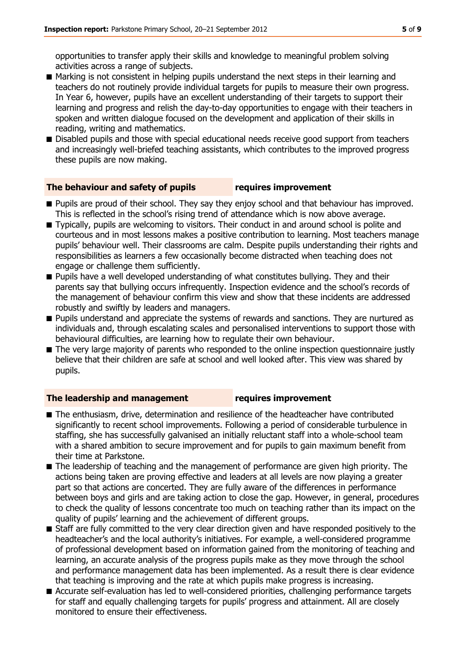opportunities to transfer apply their skills and knowledge to meaningful problem solving activities across a range of subjects.

- Marking is not consistent in helping pupils understand the next steps in their learning and teachers do not routinely provide individual targets for pupils to measure their own progress. In Year 6, however, pupils have an excellent understanding of their targets to support their learning and progress and relish the day-to-day opportunities to engage with their teachers in spoken and written dialogue focused on the development and application of their skills in reading, writing and mathematics.
- Disabled pupils and those with special educational needs receive good support from teachers and increasingly well-briefed teaching assistants, which contributes to the improved progress these pupils are now making.

#### **The behaviour and safety of pupils requires improvement**

- Pupils are proud of their school. They say they enjoy school and that behaviour has improved. This is reflected in the school's rising trend of attendance which is now above average.
- Typically, pupils are welcoming to visitors. Their conduct in and around school is polite and courteous and in most lessons makes a positive contribution to learning. Most teachers manage pupils' behaviour well. Their classrooms are calm. Despite pupils understanding their rights and responsibilities as learners a few occasionally become distracted when teaching does not engage or challenge them sufficiently.
- Pupils have a well developed understanding of what constitutes bullying. They and their parents say that bullying occurs infrequently. Inspection evidence and the school's records of the management of behaviour confirm this view and show that these incidents are addressed robustly and swiftly by leaders and managers.
- Pupils understand and appreciate the systems of rewards and sanctions. They are nurtured as individuals and, through escalating scales and personalised interventions to support those with behavioural difficulties, are learning how to regulate their own behaviour.
- The very large majority of parents who responded to the online inspection questionnaire justly believe that their children are safe at school and well looked after. This view was shared by pupils.

#### **The leadership and management requires improvement**

- The enthusiasm, drive, determination and resilience of the headteacher have contributed significantly to recent school improvements. Following a period of considerable turbulence in staffing, she has successfully galvanised an initially reluctant staff into a whole-school team with a shared ambition to secure improvement and for pupils to gain maximum benefit from their time at Parkstone.
- The leadership of teaching and the management of performance are given high priority. The actions being taken are proving effective and leaders at all levels are now playing a greater part so that actions are concerted. They are fully aware of the differences in performance between boys and girls and are taking action to close the gap. However, in general, procedures to check the quality of lessons concentrate too much on teaching rather than its impact on the quality of pupils' learning and the achievement of different groups.
- Staff are fully committed to the very clear direction given and have responded positively to the headteacher's and the local authority's initiatives. For example, a well-considered programme of professional development based on information gained from the monitoring of teaching and learning, an accurate analysis of the progress pupils make as they move through the school and performance management data has been implemented. As a result there is clear evidence that teaching is improving and the rate at which pupils make progress is increasing.
- Accurate self-evaluation has led to well-considered priorities, challenging performance targets for staff and equally challenging targets for pupils' progress and attainment. All are closely monitored to ensure their effectiveness.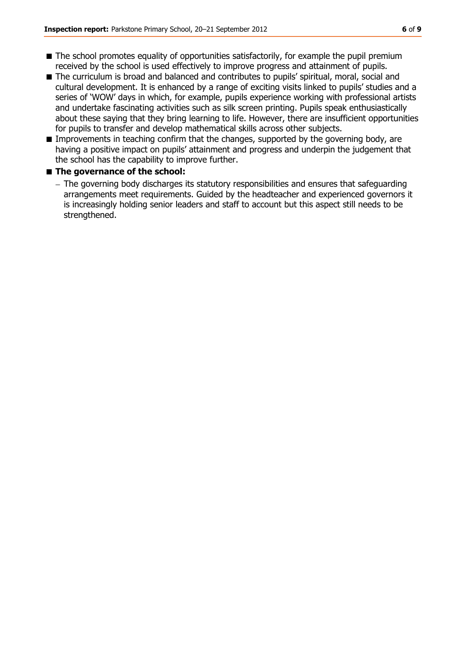- The school promotes equality of opportunities satisfactorily, for example the pupil premium received by the school is used effectively to improve progress and attainment of pupils.
- The curriculum is broad and balanced and contributes to pupils' spiritual, moral, social and cultural development. It is enhanced by a range of exciting visits linked to pupils' studies and a series of 'WOW' days in which, for example, pupils experience working with professional artists and undertake fascinating activities such as silk screen printing. Pupils speak enthusiastically about these saying that they bring learning to life. However, there are insufficient opportunities for pupils to transfer and develop mathematical skills across other subjects.
- Improvements in teaching confirm that the changes, supported by the governing body, are having a positive impact on pupils' attainment and progress and underpin the judgement that the school has the capability to improve further.

#### ■ **The governance of the school:**

The governing body discharges its statutory responsibilities and ensures that safeguarding arrangements meet requirements. Guided by the headteacher and experienced governors it is increasingly holding senior leaders and staff to account but this aspect still needs to be strengthened.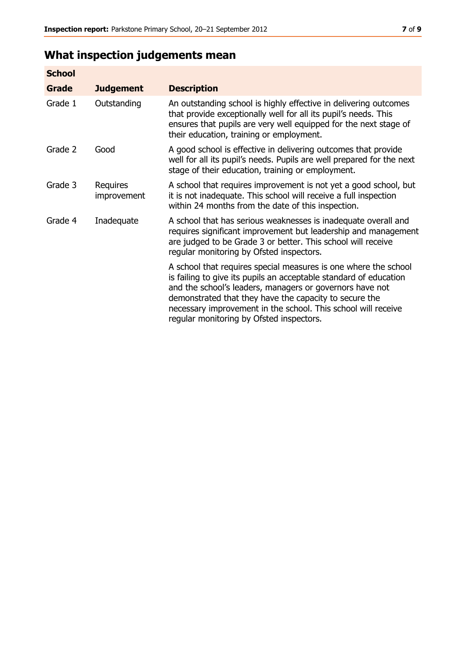# **What inspection judgements mean**

| <b>School</b> |                         |                                                                                                                                                                                                                                                                                                                                                                         |
|---------------|-------------------------|-------------------------------------------------------------------------------------------------------------------------------------------------------------------------------------------------------------------------------------------------------------------------------------------------------------------------------------------------------------------------|
| Grade         | <b>Judgement</b>        | <b>Description</b>                                                                                                                                                                                                                                                                                                                                                      |
| Grade 1       | Outstanding             | An outstanding school is highly effective in delivering outcomes<br>that provide exceptionally well for all its pupil's needs. This<br>ensures that pupils are very well equipped for the next stage of<br>their education, training or employment.                                                                                                                     |
| Grade 2       | Good                    | A good school is effective in delivering outcomes that provide<br>well for all its pupil's needs. Pupils are well prepared for the next<br>stage of their education, training or employment.                                                                                                                                                                            |
| Grade 3       | Requires<br>improvement | A school that requires improvement is not yet a good school, but<br>it is not inadequate. This school will receive a full inspection<br>within 24 months from the date of this inspection.                                                                                                                                                                              |
| Grade 4       | Inadequate              | A school that has serious weaknesses is inadequate overall and<br>requires significant improvement but leadership and management<br>are judged to be Grade 3 or better. This school will receive<br>regular monitoring by Ofsted inspectors.                                                                                                                            |
|               |                         | A school that requires special measures is one where the school<br>is failing to give its pupils an acceptable standard of education<br>and the school's leaders, managers or governors have not<br>demonstrated that they have the capacity to secure the<br>necessary improvement in the school. This school will receive<br>regular monitoring by Ofsted inspectors. |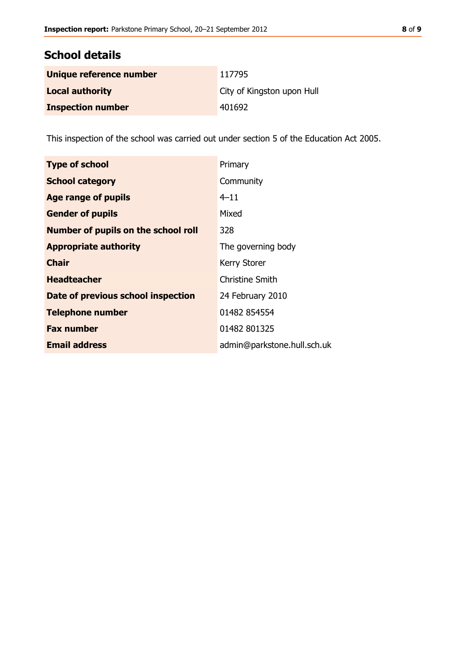## **School details**

| Unique reference number  | 117795                     |
|--------------------------|----------------------------|
| <b>Local authority</b>   | City of Kingston upon Hull |
| <b>Inspection number</b> | 401692                     |

This inspection of the school was carried out under section 5 of the Education Act 2005.

| <b>Type of school</b>                      | Primary                     |
|--------------------------------------------|-----------------------------|
| <b>School category</b>                     | Community                   |
| Age range of pupils                        | $4 - 11$                    |
| <b>Gender of pupils</b>                    | Mixed                       |
| <b>Number of pupils on the school roll</b> | 328                         |
| <b>Appropriate authority</b>               | The governing body          |
| <b>Chair</b>                               | <b>Kerry Storer</b>         |
| <b>Headteacher</b>                         | <b>Christine Smith</b>      |
| Date of previous school inspection         | 24 February 2010            |
| <b>Telephone number</b>                    | 01482 854554                |
| <b>Fax number</b>                          | 01482 801325                |
| <b>Email address</b>                       | admin@parkstone.hull.sch.uk |